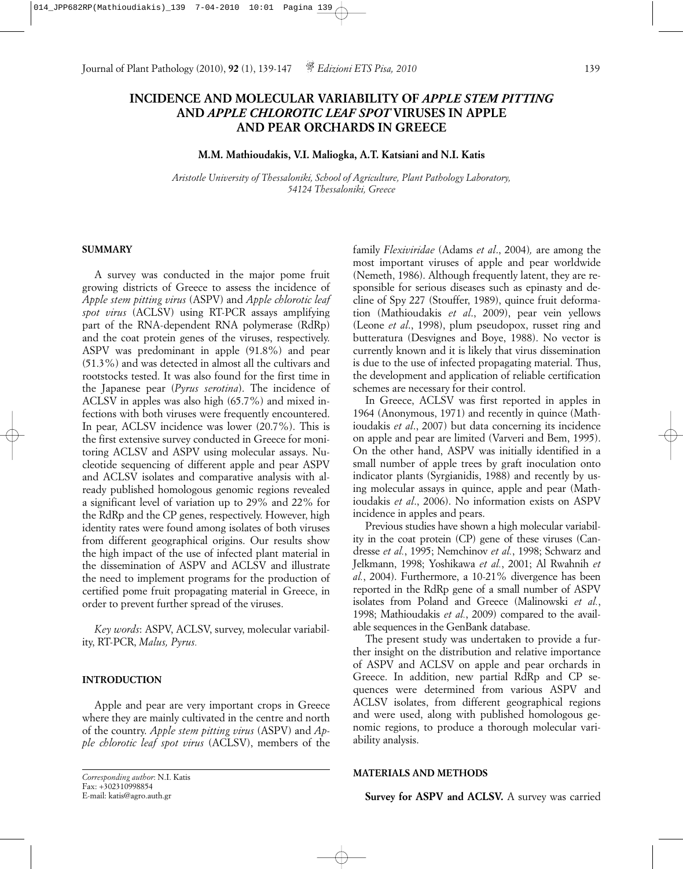# **INCIDENCE AND MOLECULAR VARIABILITY OF** *APPLE STEM PITTING* **AND** *APPLE CHLOROTIC LEAF SPOT* **VIRUSES IN APPLE AND PEAR ORCHARDS IN GREECE**

# **M.M. Mathioudakis, V.I. Maliogka, A.T. Katsiani and N.I. Katis**

*Aristotle University of Thessaloniki, School of Agriculture, Plant Pathology Laboratory, 54124 Thessaloniki, Greece*

### **SUMMARY**

A survey was conducted in the major pome fruit growing districts of Greece to assess the incidence of *Apple stem pitting virus* (ASPV) and *Apple chlorotic leaf spot virus* (ACLSV) using RT-PCR assays amplifying part of the RNA-dependent RNA polymerase (RdRp) and the coat protein genes of the viruses, respectively. ASPV was predominant in apple (91.8%) and pear (51.3%) and was detected in almost all the cultivars and rootstocks tested. It was also found for the first time in the Japanese pear (*Pyrus serotina*). The incidence of ACLSV in apples was also high (65.7%) and mixed infections with both viruses were frequently encountered. In pear, ACLSV incidence was lower (20.7%). This is the first extensive survey conducted in Greece for monitoring ACLSV and ASPV using molecular assays. Nucleotide sequencing of different apple and pear ASPV and ACLSV isolates and comparative analysis with already published homologous genomic regions revealed a significant level of variation up to 29% and 22% for the RdRp and the CP genes, respectively. However, high identity rates were found among isolates of both viruses from different geographical origins. Our results show the high impact of the use of infected plant material in the dissemination of ASPV and ACLSV and illustrate the need to implement programs for the production of certified pome fruit propagating material in Greece, in order to prevent further spread of the viruses.

*Key words*: ASPV, ACLSV, survey, molecular variability, RT-PCR, *Malus, Pyrus.*

## **INTRODUCTION**

Apple and pear are very important crops in Greece where they are mainly cultivated in the centre and north of the country. *Apple stem pitting virus* (ASPV) and *Apple chlorotic leaf spot virus* (ACLSV), members of the

```
Corresponding author: N.I. Katis
Fax: +302310998854
E-mail: katis@agro.auth.gr
```
family *Flexiviridae* (Adams *et al*., 2004)*,* are among the most important viruses of apple and pear worldwide (Nemeth, 1986). Although frequently latent, they are responsible for serious diseases such as epinasty and decline of Spy 227 (Stouffer, 1989), quince fruit deformation (Mathioudakis *et al*., 2009), pear vein yellows (Leone *et al*., 1998), plum pseudopox, russet ring and butteratura (Desvignes and Boye, 1988). No vector is currently known and it is likely that virus dissemination is due to the use of infected propagating material. Thus, the development and application of reliable certification schemes are necessary for their control.

In Greece, ACLSV was first reported in apples in 1964 (Anonymous, 1971) and recently in quince (Mathioudakis *et al*., 2007) but data concerning its incidence on apple and pear are limited (Varveri and Bem, 1995). On the other hand, ASPV was initially identified in a small number of apple trees by graft inoculation onto indicator plants (Syrgianidis, 1988) and recently by using molecular assays in quince, apple and pear (Mathioudakis *et al*., 2006). No information exists on ASPV incidence in apples and pears.

Previous studies have shown a high molecular variability in the coat protein (CP) gene of these viruses (Candresse *et al.*, 1995; Nemchinov *et al.*, 1998; Schwarz and Jelkmann, 1998; Yoshikawa *et al.*, 2001; Al Rwahnih *et al.*, 2004). Furthermore, a 10-21% divergence has been reported in the RdRp gene of a small number of ASPV isolates from Poland and Greece (Malinowski *et al.*, 1998; Mathioudakis *et al.*, 2009) compared to the available sequences in the GenBank database.

The present study was undertaken to provide a further insight on the distribution and relative importance of ASPV and ACLSV on apple and pear orchards in Greece. In addition, new partial RdRp and CP sequences were determined from various ASPV and ACLSV isolates, from different geographical regions and were used, along with published homologous genomic regions, to produce a thorough molecular variability analysis.

#### **MATERIALS AND METHODS**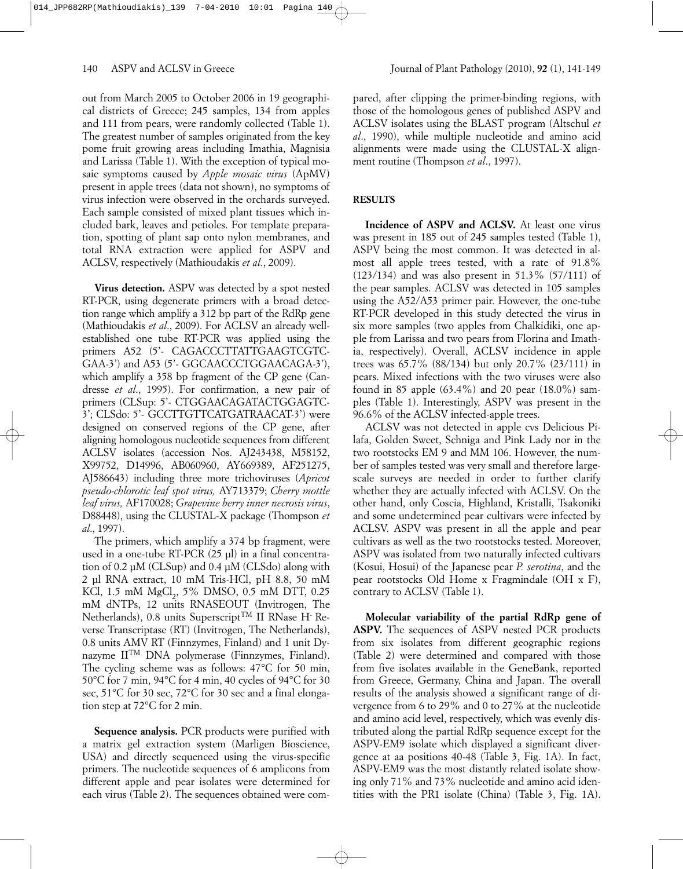out from March 2005 to October 2006 in 19 geographical districts of Greece; 245 samples, 134 from apples and 111 from pears, were randomly collected (Table 1). The greatest number of samples originated from the key pome fruit growing areas including Imathia, Magnisia and Larissa (Table 1). With the exception of typical mosaic symptoms caused by *Apple mosaic virus* (ApMV) present in apple trees (data not shown), no symptoms of virus infection were observed in the orchards surveyed. Each sample consisted of mixed plant tissues which included bark, leaves and petioles. For template preparation, spotting of plant sap onto nylon membranes, and total RNA extraction were applied for ASPV and ACLSV, respectively (Mathioudakis *et al*., 2009).

**Virus detection.** ASPV was detected by a spot nested RT-PCR, using degenerate primers with a broad detection range which amplify a 312 bp part of the RdRp gene (Mathioudakis *et al*., 2009). For ACLSV an already wellestablished one tube RT-PCR was applied using the primers A52 (5'- CAGACCCTTATTGAAGTCGTC-GAA-3') and A53 (5' - GGCAACCCTGGAACAGA-3'), which amplify a 358 bp fragment of the CP gene (Candresse *et al*., 1995). For confirmation, a new pair of primers (CLSup: 5'- CTGGAACAGATACTGGAGTC-3'; CLSdo: 5'- GCCTTGTTCATGATRAACAT-3') were designed on conserved regions of the CP gene, after aligning homologous nucleotide sequences from different ACLSV isolates (accession Nos. AJ243438, M58152, X99752, D14996, AB060960, AY669389, AF251275, AJ586643) including three more trichoviruses (*Apricot pseudo-chlorotic leaf spot virus,* AY713379; *Cherry mottle leaf virus,* AF170028; *Grapevine berry inner necrosis virus*, D88448), using the CLUSTAL-X package (Thompson *et al*., 1997).

The primers, which amplify a 374 bp fragment, were used in a one-tube RT-PCR (25 µl) in a final concentration of 0.2 µM (CLSup) and 0.4 µM (CLSdo) along with 2 µl RNA extract, 10 mM Tris-HCl, pH 8.8, 50 mM KCl, 1.5 mM MgCl<sub>2</sub>, 5% DMSO, 0.5 mM DTT, 0.25 mM dNTPs, 12 units RNASEOUT (Invitrogen, The Netherlands), 0.8 units Superscript<sup>TM</sup> II RNase H<sup>-</sup> Reverse Transcriptase (RT) (Invitrogen, The Netherlands), 0.8 units AMV RT (Finnzymes, Finland) and 1 unit Dynazyme IITM DNA polymerase (Finnzymes, Finland). The cycling scheme was as follows: 47°C for 50 min, 50°C for 7 min, 94°C for 4 min, 40 cycles of 94°C for 30 sec, 51°C for 30 sec, 72°C for 30 sec and a final elongation step at 72°C for 2 min.

**Sequence analysis.** PCR products were purified with a matrix gel extraction system (Marligen Bioscience, USA) and directly sequenced using the virus-specific primers. The nucleotide sequences of 6 amplicons from different apple and pear isolates were determined for each virus (Table 2). The sequences obtained were compared, after clipping the primer-binding regions, with those of the homologous genes of published ASPV and ACLSV isolates using the BLAST program (Altschul *et al*., 1990), while multiple nucleotide and amino acid alignments were made using the CLUSTAL-X alignment routine (Thompson *et al*., 1997).

# **RESULTS**

**Incidence of ASPV and ACLSV.** At least one virus was present in 185 out of 245 samples tested (Table 1), ASPV being the most common. It was detected in almost all apple trees tested, with a rate of 91.8% (123/134) and was also present in 51.3% (57/111) of the pear samples. ACLSV was detected in 105 samples using the A52/A53 primer pair. However, the one-tube RT-PCR developed in this study detected the virus in six more samples (two apples from Chalkidiki, one apple from Larissa and two pears from Florina and Imathia, respectively). Overall, ACLSV incidence in apple trees was 65.7% (88/134) but only 20.7% (23/111) in pears. Mixed infections with the two viruses were also found in 85 apple (63.4%) and 20 pear (18.0%) samples (Table 1). Interestingly, ASPV was present in the 96.6% of the ACLSV infected-apple trees.

ACLSV was not detected in apple cvs Delicious Pilafa, Golden Sweet, Schniga and Pink Lady nor in the two rootstocks EM 9 and MM 106. However, the number of samples tested was very small and therefore largescale surveys are needed in order to further clarify whether they are actually infected with ACLSV. On the other hand, only Coscia, Highland, Kristalli, Tsakoniki and some undetermined pear cultivars were infected by ACLSV. ASPV was present in all the apple and pear cultivars as well as the two rootstocks tested. Moreover, ASPV was isolated from two naturally infected cultivars (Kosui, Hosui) of the Japanese pear *P. serotina*, and the pear rootstocks Old Home x Fragmindale (OH x F), contrary to ACLSV (Table 1).

**Molecular variability of the partial RdRp gene of ASPV.** The sequences of ASPV nested PCR products from six isolates from different geographic regions (Table 2) were determined and compared with those from five isolates available in the GeneBank, reported from Greece, Germany, China and Japan. The overall results of the analysis showed a significant range of divergence from 6 to 29% and 0 to 27% at the nucleotide and amino acid level, respectively, which was evenly distributed along the partial RdRp sequence except for the ASPV-EM9 isolate which displayed a significant divergence at aa positions 40-48 (Table 3, Fig. 1A). In fact, ASPV-EM9 was the most distantly related isolate showing only 71% and 73% nucleotide and amino acid identities with the PR1 isolate (China) (Table 3, Fig. 1A).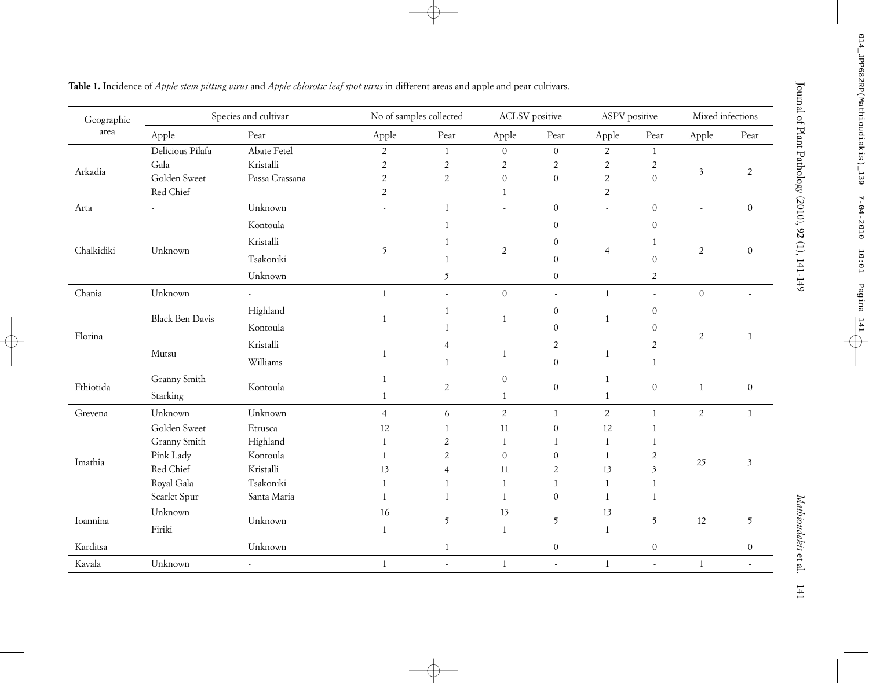| Geographic |                        | Species and cultivar       |                          | No of samples collected | <b>ACLSV</b> positive    |                          | ASPV positive  |                          | Mixed infections |                  |
|------------|------------------------|----------------------------|--------------------------|-------------------------|--------------------------|--------------------------|----------------|--------------------------|------------------|------------------|
| area       | Apple                  | Pear                       | Apple                    | Pear                    | Apple                    | Pear                     | Apple          | Pear                     | Apple            | Pear             |
|            | Delicious Pilafa       | Abate Fetel                | $\overline{2}$           | $\mathbf{1}$            | $\overline{0}$           | $\boldsymbol{0}$         | $\overline{2}$ | $1\,$                    |                  |                  |
| Arkadia    | Gala                   | Kristalli                  | $\overline{c}$           | $\sqrt{2}$              | $\overline{c}$           | $\overline{2}$           | $\sqrt{2}$     | $\sqrt{2}$               | $\mathfrak{Z}$   | $\overline{2}$   |
|            | Golden Sweet           | Passa Crassana             | $\sqrt{2}$               | $\sqrt{2}$              | $\boldsymbol{0}$         | $\mathbf{0}$             | $\sqrt{2}$     | $\boldsymbol{0}$         |                  |                  |
|            | Red Chief              |                            | $\overline{2}$           |                         | $\mathbf{1}$             | $\sim$                   | $\overline{c}$ | $\sim$                   |                  |                  |
| Arta       |                        | Unknown                    | $\blacksquare$           | $1\,$                   | $\overline{\phantom{a}}$ | $\boldsymbol{0}$         |                | $\boldsymbol{0}$         | $\Box$           | $\boldsymbol{0}$ |
|            |                        | Kontoula                   |                          | $\mathbf{1}$            |                          | $\boldsymbol{0}$         |                | $\boldsymbol{0}$         |                  |                  |
|            |                        | $\operatorname{Kristalli}$ |                          | $\mathbf{1}$            |                          | $\mathbf{0}$             |                | $\mathbf{1}$             |                  |                  |
| Chalkidiki | Unknown                | Tsakoniki                  | $\mathfrak{I}$           | $\mathbf{1}$            | $\overline{c}$           | $\boldsymbol{0}$         | $\overline{4}$ | $\boldsymbol{0}$         | $\overline{c}$   | $\boldsymbol{0}$ |
|            |                        | Unknown                    |                          | 5                       |                          | $\boldsymbol{0}$         |                | $\mathbf{2}$             |                  |                  |
| Chania     | Unknown                |                            | $\,1\,$                  | $\sim$                  | $\boldsymbol{0}$         | $\overline{\phantom{a}}$ | $\,1\,$        | $\overline{\phantom{a}}$ | $\boldsymbol{0}$ | $\mathbf{r}$     |
|            |                        | Highland                   |                          | $\,1\,$                 |                          | $\boldsymbol{0}$         |                | $\boldsymbol{0}$         |                  |                  |
|            | <b>Black Ben Davis</b> | Kontoula                   | 1                        | 1                       | $\mathbf{1}$             | $\overline{0}$           | $\mathbf{1}$   | $\theta$                 |                  |                  |
| Florina    |                        | Kristalli                  |                          |                         |                          | $\overline{c}$           |                | $\overline{2}$           | $\overline{2}$   | 1                |
|            | Mutsu                  |                            | 1                        |                         | 1                        |                          | $\mathbf{1}$   |                          |                  |                  |
|            |                        | Williams                   |                          | 1                       |                          | $\boldsymbol{0}$         |                | $\mathbf{1}$             |                  |                  |
| Fthiotida  | Granny Smith           | Kontoula                   | $\mathbf{1}$             | $\overline{c}$          | $\boldsymbol{0}$         | $\mathbf{0}$             | $\mathbf{1}$   | $\boldsymbol{0}$         | $1\,$            | $\boldsymbol{0}$ |
|            | Starking               |                            | 1                        |                         | 1                        |                          | 1              |                          |                  |                  |
| Grevena    | Unknown                | Unknown                    | $\overline{4}$           | $\epsilon$              | $\overline{2}$           | $1\,$                    | $\overline{2}$ | $\mathbf{1}$             | $\overline{2}$   | $\mathbf{1}$     |
|            | Golden Sweet           | Etrusca                    | 12                       | $\mathbf{1}$            | 11                       | $\mathbf{0}$             | 12             | $\mathbf{1}$             |                  |                  |
|            | Granny Smith           | Highland                   | 1                        | $\overline{2}$          | $\mathbf{1}$             | $\mathbf{1}$             | $\mathbf{1}$   | $\mathbf{1}$             |                  |                  |
| Imathia    | Pink Lady              | Kontoula                   | 1                        | 2                       | $\boldsymbol{0}$         | $\boldsymbol{0}$         | $\mathbf{1}$   | $\sqrt{2}$               | 25               | $\mathfrak{Z}$   |
|            | Red Chief              | Kristalli                  | 13                       | $\overline{4}$          | 11                       | $\sqrt{2}$               | 13             | $\overline{\mathbf{3}}$  |                  |                  |
|            | Royal Gala             | Tsakoniki                  | $\mathbf{1}$             | 1                       | $\mathbf{1}$             | $\mathbf{1}$             | $\mathbf{1}$   | $\mathbf{1}$             |                  |                  |
|            | Scarlet Spur           | Santa Maria                | 1                        | $\mathbf{1}$            | 1                        | $\mathbf{0}$             | $\mathbf{1}$   | $\mathbf{1}$             |                  |                  |
| Ioannina   | Unknown                | Unknown                    | 16                       | 5                       | 13                       | 5                        | 13             | $\mathfrak{I}$           | 12               | $\mathfrak{I}$   |
|            | Firiki                 |                            | $1\,$                    |                         | $\mathbf{1}$             |                          | $\mathbf{1}$   |                          |                  |                  |
| Karditsa   |                        | Unknown                    | $\overline{\phantom{a}}$ | $\,1\,$                 | $\omega$                 | $\boldsymbol{0}$         | $\sim$         | $\boldsymbol{0}$         | $\sim$           | $\boldsymbol{0}$ |
| Kavala     | Unknown                | $\overline{\phantom{a}}$   | $\mathbf{1}$             | $\bar{\phantom{a}}$     | $\mathbf{1}$             | $\overline{\phantom{a}}$ | $\mathbf{1}$   | $\sim$                   | $1\,$            | $\omega$         |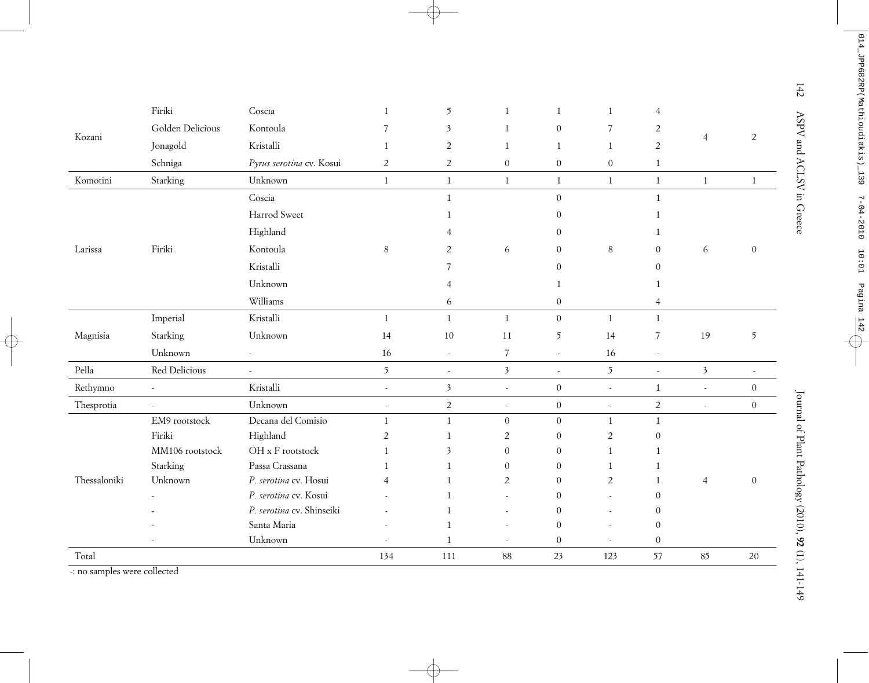|              | Firiki           | Coscia                    |                | 5                       | $\mathbf{1}$     | 1                | 1                | 4                        |                          |                  |
|--------------|------------------|---------------------------|----------------|-------------------------|------------------|------------------|------------------|--------------------------|--------------------------|------------------|
|              | Golden Delicious | Kontoula                  | 7              | $\mathfrak{Z}$          | 1                | $\boldsymbol{0}$ | $\overline{7}$   | $\overline{c}$           |                          |                  |
| Kozani       | Jonagold         | Kristalli                 | 1              | $\overline{2}$          | $\mathbf{1}$     | $\mathbf{1}$     | $\mathbf{1}$     | $\overline{c}$           | $\overline{4}$           | $\overline{2}$   |
|              | Schniga          | Pyrus serotina cv. Kosui  | $\overline{c}$ | $\overline{2}$          | $\boldsymbol{0}$ | $\mathbf{0}$     | $\boldsymbol{0}$ | $\mathbf{1}$             |                          |                  |
| Komotini     | Starking         | Unknown                   | $\mathbf{1}$   | $\mathbf{1}$            | $\mathbf{1}$     | $\mathbf{1}$     | $\mathbf{1}$     | $\mathbf{1}$             | $\mathbf{1}$             | $\mathbf{1}$     |
|              |                  | Coscia                    |                | $\overline{1}$          |                  | $\overline{0}$   |                  | $\mathbf{1}$             |                          |                  |
|              |                  | Harrod Sweet              |                |                         |                  | $\Omega$         |                  | 1                        |                          |                  |
|              |                  | Highland                  |                |                         |                  | $\Omega$         |                  | 1                        |                          |                  |
| Larissa      | Firiki           | Kontoula                  | $8\,$          | 2                       | $\boldsymbol{6}$ | $\overline{0}$   | $\,8\,$          | $\mathbf{0}$             | 6                        | $\boldsymbol{0}$ |
|              |                  | Kristalli                 |                |                         |                  | $\Omega$         |                  | $\boldsymbol{0}$         |                          |                  |
|              |                  | Unknown                   |                |                         |                  |                  |                  |                          |                          |                  |
|              |                  | Williams                  |                | 6                       |                  | $\boldsymbol{0}$ |                  | $\overline{4}$           |                          |                  |
|              | Imperial         | Kristalli                 | $\mathbf{1}$   | $1\,$                   | $1\,$            | $\boldsymbol{0}$ | $1\,$            | $\mathbf{1}$             |                          |                  |
| Magnisia     | Starking         | Unknown                   | 14             | 10                      | 11               | 5                | 14               | $\overline{7}$           | 19                       | 5                |
|              | Unknown          |                           | 16             | $\omega$                | $\overline{7}$   | $\omega$         | 16               | $\omega$                 |                          |                  |
| Pella        | Red Delicious    |                           | 5              | $\bar{a}$               | $\mathfrak{Z}$   | $\sim$           | $\mathfrak{I}$   | $\overline{\phantom{a}}$ | $\mathfrak{Z}$           | $\sim$           |
| Rethymno     | $\sim$           | Kristalli                 | $\sim$         | $\mathfrak{Z}$          | $\sim$           | $\boldsymbol{0}$ | $\overline{a}$   | $\mathbf{1}$             | $\omega$                 | $\theta$         |
| Thesprotia   |                  | Unknown                   | $\sim$         | $\overline{2}$          | $\sim$           | $\boldsymbol{0}$ | $\omega$         | $\overline{2}$           | $\overline{\phantom{a}}$ | $\boldsymbol{0}$ |
|              | EM9 rootstock    | Decana del Comisio        | $\mathbf{1}$   | 1                       | $\boldsymbol{0}$ | $\mathbf{0}$     | $\mathbf{1}$     | 1                        |                          |                  |
|              | Firiki           | Highland                  | 2              | $\overline{1}$          | $\overline{2}$   | $\theta$         | $\overline{2}$   | $\mathbf{0}$             |                          |                  |
|              | MM106 rootstock  | OH x F rootstock          |                | $\overline{\mathbf{3}}$ | $\Omega$         | $\Omega$         | $\mathbf{1}$     | 1                        |                          |                  |
|              | Starking         | Passa Crassana            |                | $\mathbf{1}$            | $\Omega$         | $\theta$         | $\mathbf{1}$     | 1                        |                          |                  |
| Thessaloniki | Unknown          | P. serotina cv. Hosui     |                |                         | $\overline{2}$   | $\overline{0}$   | $\overline{2}$   | 1                        | $\overline{4}$           | $\boldsymbol{0}$ |
|              |                  | P. serotina cv. Kosui     |                |                         |                  | $\theta$         |                  | $\theta$                 |                          |                  |
|              |                  | P. serotina cv. Shinseiki |                |                         |                  | $\Omega$         |                  | $\theta$                 |                          |                  |
|              |                  | Santa Maria               |                | $\mathbf{1}$            |                  | $\Omega$         |                  | $\mathbf{0}$             |                          |                  |
|              |                  | Unknown                   |                | $\overline{1}$          |                  | $\theta$         | $\sim$           | $\boldsymbol{0}$         |                          |                  |
|              |                  |                           | 134            | 111                     | 88               | 23               | 123              | 57                       | 85                       | $20\,$           |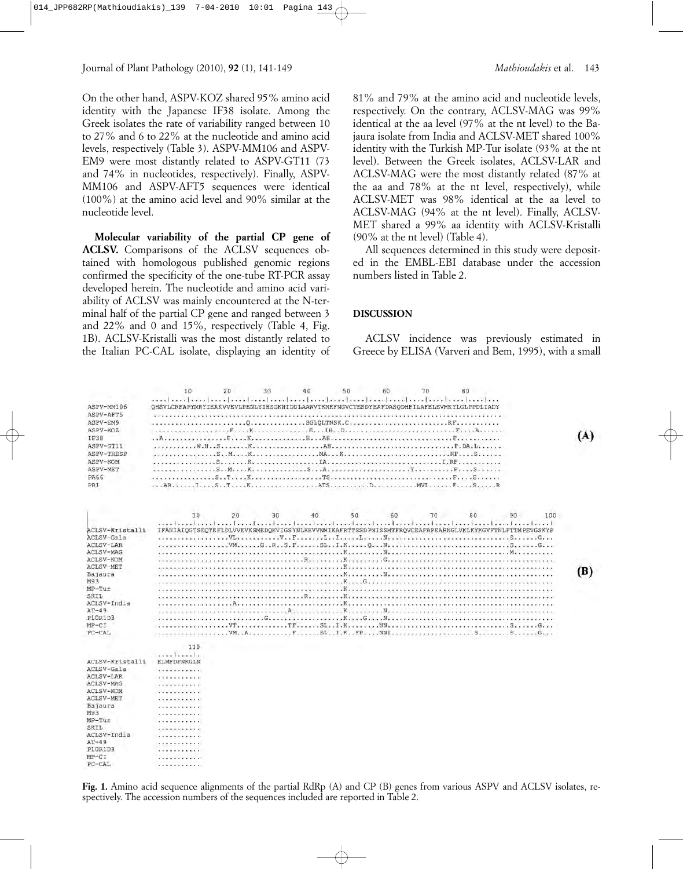On the other hand, ASPV-KOZ shared 95% amino acid identity with the Japanese IF38 isolate. Among the Greek isolates the rate of variability ranged between 10 to 27% and 6 to 22% at the nucleotide and amino acid levels, respectively (Table 3). ASPV-MM106 and ASPV-EM9 were most distantly related to ASPV-GT11 (73 and 74% in nucleotides, respectively). Finally, ASPV-MM106 and ASPV-AFT5 sequences were identical (100%) at the amino acid level and 90% similar at the nucleotide level.

**Molecular variability of the partial CP gene of ACLSV.** Comparisons of the ACLSV sequences obtained with homologous published genomic regions confirmed the specificity of the one-tube RT-PCR assay developed herein. The nucleotide and amino acid variability of ACLSV was mainly encountered at the N-terminal half of the partial CP gene and ranged between 3 and 22% and 0 and 15%, respectively (Table 4, Fig. 1B). ACLSV-Kristalli was the most distantly related to the Italian PC-CAL isolate, displaying an identity of 81% and 79% at the amino acid and nucleotide levels, respectively. On the contrary, ACLSV-MAG was 99% identical at the aa level (97% at the nt level) to the Bajaura isolate from India and ACLSV-MET shared 100% identity with the Turkish MP-Tur isolate (93% at the nt level). Between the Greek isolates, ACLSV-LAR and ACLSV-MAG were the most distantly related (87% at the aa and 78% at the nt level, respectively), while ACLSV-MET was 98% identical at the aa level to ACLSV-MAG (94% at the nt level). Finally, ACLSV-MET shared a 99% aa identity with ACLSV-Kristalli (90% at the nt level) (Table 4).

All sequences determined in this study were deposited in the EMBL-EBI database under the accession numbers listed in Table 2.

#### **DISCUSSION**

ACLSV incidence was previously estimated in Greece by ELISA (Varveri and Bem, 1995), with a small

|                  |                      | 10           | 20  | 30         | 40 | 50 | 60 | 70 | 80                                                                                                   |    |     |     |
|------------------|----------------------|--------------|-----|------------|----|----|----|----|------------------------------------------------------------------------------------------------------|----|-----|-----|
| ASPV-MM106       |                      |              |     |            |    |    |    |    | OHSVLCRFAPYMRYIEAKVVEVLPENLYIHSGKNIDDLAAWVTKNKFNGVCTESDYEAFDASODHFILAFELEVMKYLGLPPDLIADY             |    |     |     |
| ASPV-AFT5        |                      |              |     |            |    |    |    |    |                                                                                                      |    |     |     |
| ASPV-EM9         |                      |              |     | $\Omega$ . |    |    |    |    |                                                                                                      |    |     |     |
| ASPV-KOZ         |                      | . <i>. F</i> | . K |            |    |    |    |    | $F_{1112}A_{111111}$                                                                                 |    |     |     |
| <b>IF38</b>      |                      |              |     |            |    |    |    |    |                                                                                                      |    |     | (A) |
| ASPV-GT11        |                      |              |     |            |    |    |    |    |                                                                                                      |    |     |     |
| ASPV-THESP       |                      |              |     |            |    |    |    |    |                                                                                                      |    |     |     |
| ASPV-KOM         |                      |              |     |            |    |    |    |    |                                                                                                      |    |     |     |
| ASPV-MET         |                      |              |     |            |    |    |    |    |                                                                                                      |    |     |     |
| PA66             |                      |              |     |            |    |    |    |    |                                                                                                      |    |     |     |
| PR1              |                      |              |     |            |    |    |    |    |                                                                                                      |    |     |     |
|                  |                      |              |     |            |    |    |    |    |                                                                                                      |    |     |     |
|                  |                      | 10           | 20  | 30         | 40 | 50 | 60 | 70 | 80                                                                                                   | 90 | 100 |     |
| ACLSV-Kristalli  |                      |              |     |            |    |    |    |    | TFANIAIOGTSEOTEFLDLVVEVKSMEDOKVIGSYNLKEVVNMIKAFRTTSSDPNISSMTFRÖVCEAFAPEARNGLVKLKYKGVFTNLFTTMPEVGSKYP |    |     |     |
| ACLSV-Gala       |                      |              |     |            |    |    |    |    |                                                                                                      |    |     |     |
| ACLSV-LAR        |                      |              |     |            |    |    |    |    |                                                                                                      |    |     |     |
| ACLSV-MAG        |                      |              |     |            |    |    |    |    |                                                                                                      |    |     |     |
| ACLSV-KOM        |                      |              |     |            |    |    |    |    |                                                                                                      |    |     |     |
| <b>ACLSV-MET</b> |                      |              |     |            |    |    |    |    |                                                                                                      |    |     |     |
| Bajaura          |                      |              |     |            |    |    |    |    |                                                                                                      |    |     | (B) |
| M93              |                      |              |     |            |    |    |    |    |                                                                                                      |    |     |     |
| $MP-Tur$         |                      |              |     |            |    |    |    |    |                                                                                                      |    |     |     |
| SKIL             |                      |              |     |            |    |    |    |    |                                                                                                      |    |     |     |
| ACLSV-India      |                      |              |     |            |    |    |    |    |                                                                                                      |    |     |     |
| $AT-49$          |                      |              |     |            |    |    |    |    |                                                                                                      |    |     |     |
| P10R1D3          |                      |              |     |            |    |    |    |    |                                                                                                      |    |     |     |
| $MP-CT$          |                      |              |     |            |    |    |    |    |                                                                                                      |    |     |     |
| PC-CAL           |                      |              |     |            |    |    |    |    |                                                                                                      |    |     |     |
|                  |                      | 110          |     |            |    |    |    |    |                                                                                                      |    |     |     |
| ACLSV-Kristalli  | . 1 .<br>ELMFDFNKGLN |              |     |            |    |    |    |    |                                                                                                      |    |     |     |
| ACLSV-Gala       | .                    |              |     |            |    |    |    |    |                                                                                                      |    |     |     |
| ACLSV-LAR        | .                    |              |     |            |    |    |    |    |                                                                                                      |    |     |     |
| <b>ACLSV-MAG</b> | .                    |              |     |            |    |    |    |    |                                                                                                      |    |     |     |
| ACLSV-KOM        | والمحامل والمحاملات  |              |     |            |    |    |    |    |                                                                                                      |    |     |     |
| <b>ACLSV-MET</b> | . <i>.</i>           |              |     |            |    |    |    |    |                                                                                                      |    |     |     |
| Bajaura          | .                    |              |     |            |    |    |    |    |                                                                                                      |    |     |     |
| M93<br>$MP-Tur$  | .                    |              |     |            |    |    |    |    |                                                                                                      |    |     |     |
| SKIL             | .                    |              |     |            |    |    |    |    |                                                                                                      |    |     |     |
| ACLSV-India      | .<br>.               |              |     |            |    |    |    |    |                                                                                                      |    |     |     |
| $AT-49$          | .                    |              |     |            |    |    |    |    |                                                                                                      |    |     |     |
| P10R1D3          | .                    |              |     |            |    |    |    |    |                                                                                                      |    |     |     |
| MP-CI            | .                    |              |     |            |    |    |    |    |                                                                                                      |    |     |     |
| PC-CAL           | .                    |              |     |            |    |    |    |    |                                                                                                      |    |     |     |
|                  |                      |              |     |            |    |    |    |    |                                                                                                      |    |     |     |

**Fig. 1.** Amino acid sequence alignments of the partial RdRp (A) and CP (B) genes from various ASPV and ACLSV isolates, respectively. The accession numbers of the sequences included are reported in Table 2.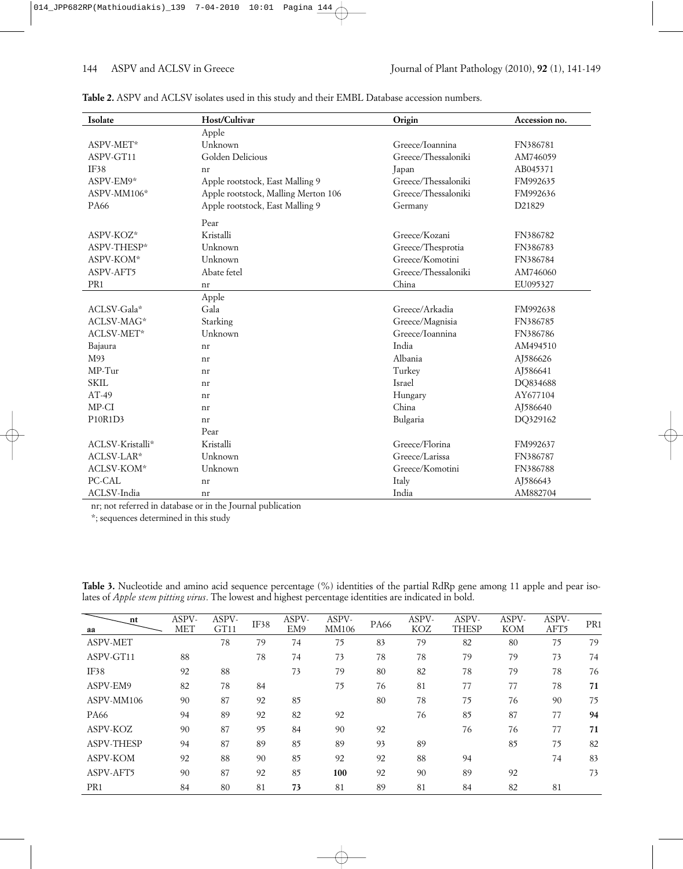| Isolate          | Host/Cultivar                       | Origin              | Accession no. |
|------------------|-------------------------------------|---------------------|---------------|
|                  | Apple                               |                     |               |
| ASPV-MET*        | Unknown                             | Greece/Ioannina     | FN386781      |
| ASPV-GT11        | Golden Delicious                    | Greece/Thessaloniki | AM746059      |
| IF38             | nr                                  | Japan               | AB045371      |
| ASPV-EM9*        | Apple rootstock, East Malling 9     | Greece/Thessaloniki | FM992635      |
| ASPV-MM106*      | Apple rootstock, Malling Merton 106 | Greece/Thessaloniki | FM992636      |
| <b>PA66</b>      | Apple rootstock, East Malling 9     | Germany             | D21829        |
|                  | Pear                                |                     |               |
| ASPV-KOZ*        | Kristalli                           | Greece/Kozani       | FN386782      |
| ASPV-THESP*      | Unknown                             | Greece/Thesprotia   | FN386783      |
| ASPV-KOM*        | Unknown                             | Greece/Komotini     | FN386784      |
| ASPV-AFT5        | Abate fetel                         | Greece/Thessaloniki | AM746060      |
| PR <sub>1</sub>  | nr                                  | China               | EU095327      |
|                  | Apple                               |                     |               |
| ACLSV-Gala*      | Gala                                | Greece/Arkadia      | FM992638      |
| ACLSV-MAG*       | Starking                            | Greece/Magnisia     | FN386785      |
| ACLSV-MET*       | Unknown                             | Greece/Ioannina     | FN386786      |
| Bajaura          | nr                                  | India               | AM494510      |
| M93              | nr                                  | Albania             | AJ586626      |
| $MP-Tur$         | nr                                  | Turkey              | AJ586641      |
| <b>SKIL</b>      | nr                                  | Israel              | DQ834688      |
| $AT-49$          | nr                                  | Hungary             | AY677104      |
| MP-CI            | nr                                  | China               | AJ586640      |
| P10R1D3          | nr                                  | Bulgaria            | DQ329162      |
|                  | Pear                                |                     |               |
| ACLSV-Kristalli* | Kristalli                           | Greece/Florina      | FM992637      |
| ACLSV-LAR*       | Unknown                             | Greece/Larissa      | FN386787      |
| ACLSV-KOM*       | Unknown                             | Greece/Komotini     | FN386788      |
| PC-CAL           | nr                                  | Italy               | AJ586643      |
| ACLSV-India      | nr                                  | India               | AM882704      |

**Table 2.** ASPV and ACLSV isolates used in this study and their EMBL Database accession numbers.

nr; not referred in database or in the Journal publication

\*; sequences determined in this study

|  |  |  | <b>Table 3.</b> Nucleotide and amino acid sequence percentage $(\%)$ identities of the partial RdRp gene among 11 apple and pear iso- |  |  |  |  |  |  |  |
|--|--|--|---------------------------------------------------------------------------------------------------------------------------------------|--|--|--|--|--|--|--|
|  |  |  | lates of <i>Apple stem pitting virus</i> . The lowest and highest percentage identities are indicated in bold.                        |  |  |  |  |  |  |  |
|  |  |  |                                                                                                                                       |  |  |  |  |  |  |  |

| nt<br>aa          | ASPV-<br><b>MET</b> | ASPV-<br>GT11 | IF38 | ASPV-<br>EM9 | ASPV-<br>MM106 | <b>PA66</b> | ASPV-<br>KOZ | ASPV-<br><b>THESP</b> | ASPV-<br><b>KOM</b> | ASPV-<br>AFT5 | PR <sub>1</sub> |
|-------------------|---------------------|---------------|------|--------------|----------------|-------------|--------------|-----------------------|---------------------|---------------|-----------------|
| <b>ASPV-MET</b>   |                     | 78            | 79   | 74           | 75             | 83          | 79           | 82                    | 80                  | 75            | 79              |
| ASPV-GT11         | 88                  |               | 78   | 74           | 73             | 78          | 78           | 79                    | 79                  | 73            | 74              |
| IF38              | 92                  | 88            |      | 73           | 79             | 80          | 82           | 78                    | 79                  | 78            | 76              |
| ASPV-EM9          | 82                  | 78            | 84   |              | 75             | 76          | 81           | 77                    | 77                  | 78            | 71              |
| ASPV-MM106        | 90                  | 87            | 92   | 85           |                | 80          | 78           | 75                    | 76                  | 90            | 75              |
| <b>PA66</b>       | 94                  | 89            | 92   | 82           | 92             |             | 76           | 85                    | 87                  | 77            | 94              |
| ASPV-KOZ          | 90                  | 87            | 95   | 84           | 90             | 92          |              | 76                    | 76                  | 77            | 71              |
| <b>ASPV-THESP</b> | 94                  | 87            | 89   | 85           | 89             | 93          | 89           |                       | 85                  | 75            | 82              |
| <b>ASPV-KOM</b>   | 92                  | 88            | 90   | 85           | 92             | 92          | 88           | 94                    |                     | 74            | 83              |
| ASPV-AFT5         | 90                  | 87            | 92   | 85           | 100            | 92          | 90           | 89                    | 92                  |               | 73              |
| PR <sub>1</sub>   | 84                  | 80            | 81   | 73           | 81             | 89          | 81           | 84                    | 82                  | 81            |                 |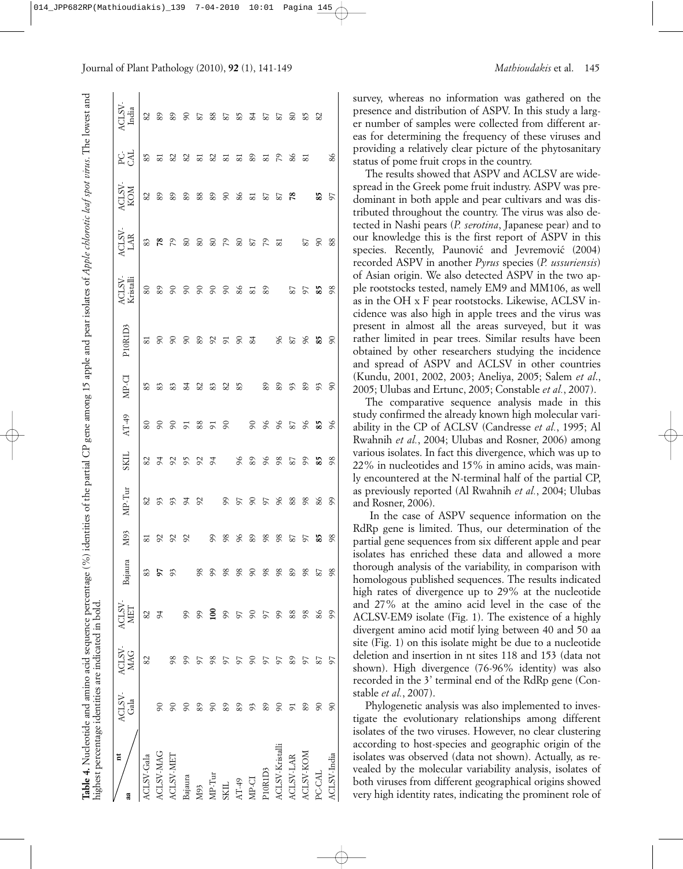| <b>Table 4.</b> Nucleotide and amino acid sequence percentage $\binom{9}{0}$ identities of the partial CP<br>highest percentage identities are indicated in bold. |                |                                    |                                                            |          |                        |                     |               |               |                             | gene among 15 apple and pear isolates of Apple chlorotic leaf spot virus. The lowest and |                                                                     |                                                              |                         |                       |                                     |
|-------------------------------------------------------------------------------------------------------------------------------------------------------------------|----------------|------------------------------------|------------------------------------------------------------|----------|------------------------|---------------------|---------------|---------------|-----------------------------|------------------------------------------------------------------------------------------|---------------------------------------------------------------------|--------------------------------------------------------------|-------------------------|-----------------------|-------------------------------------|
| Ħ<br>aa                                                                                                                                                           | ACLSV-<br>Gala | $\frac{\text{AGLSV-}}{\text{MAG}}$ | $\begin{array}{c} \text{ACLSV-} \\ \text{MET} \end{array}$ | Bajaura  | N <sub>93</sub>        | MP-Tur              | <b>SKIL</b>   | $AT-49$       | MP-CI                       | P10R1D3                                                                                  | $\begin{array}{c}\n\text{ACLSV-}\n\\ \text{Kristalli}\n\end{array}$ | $\begin{array}{c}\n\text{ACLSV-} \\ \text{LAR}\n\end{array}$ | <b>ACLSV</b><br>KOM     | <b>RG</b>             | $\frac{\text{ACLSV}}{\text{India}}$ |
| ACLSV-Gala                                                                                                                                                        |                | 82                                 | 82                                                         | 83       | $\overline{\text{81}}$ | $82\,$              | 82            | $80\,$        | 85                          | $\overline{81}$                                                                          | $80\,$                                                              | 83                                                           | $82\,$                  | 85                    | 82                                  |
| ACLSV-MAG                                                                                                                                                         | $\infty$       |                                    | $\overline{6}$                                             | 57       |                        |                     |               |               | $83\,$                      |                                                                                          |                                                                     |                                                              |                         |                       |                                     |
| ACLSV-MET                                                                                                                                                         | 60             | 98                                 |                                                            | 93       | 2 2 2                  | 3 3 3 3 3 5 5 6 8 8 | 22222         | 887878        | $\frac{2}{8}$ $\frac{2}{4}$ | $888888583$                                                                              | 28888882                                                            | 23 23 23 24 25 26 27                                         | $22.383838383333333838$ | 5 2 3 5 5 6 5 6 6 7 8 | 8 2 2 2 3 2 3 2 3 2 3 3 3           |
| Bajaura                                                                                                                                                           | 60             | 99                                 | 99                                                         |          |                        |                     |               |               |                             |                                                                                          |                                                                     |                                                              |                         |                       |                                     |
| M93                                                                                                                                                               | 89             | 57                                 | $\mathcal{S}^{\circ}$                                      | 98       |                        |                     |               |               |                             |                                                                                          |                                                                     |                                                              |                         |                       |                                     |
| MP-Tur                                                                                                                                                            | $\infty$       | 98                                 | $\Xi$                                                      | 99       | $-888$                 |                     |               |               |                             |                                                                                          |                                                                     |                                                              |                         |                       |                                     |
| SKIL                                                                                                                                                              | 89             | 57                                 | 99                                                         | 98       |                        |                     |               |               |                             |                                                                                          |                                                                     |                                                              |                         |                       |                                     |
| $AT-49$                                                                                                                                                           | 89             | 57                                 | 57                                                         | 98       |                        |                     |               |               |                             |                                                                                          |                                                                     |                                                              |                         |                       |                                     |
| MP-CI                                                                                                                                                             | 93             | $\infty$                           | $\infty$                                                   | $\infty$ | 89<br>98               |                     | 8 8 8 8 8 8 8 | $-888$        | 2325 23                     |                                                                                          | 81                                                                  |                                                              |                         |                       |                                     |
| P10R1D3                                                                                                                                                           | 89             | 5                                  | 57                                                         | 98       |                        |                     |               |               |                             | 8588                                                                                     | 80 S                                                                |                                                              |                         |                       |                                     |
| ACLSV-Kristall                                                                                                                                                    | $\infty$       | 57                                 | 99                                                         | 98       | 98                     |                     |               |               |                             |                                                                                          |                                                                     |                                                              |                         |                       |                                     |
| ACLSV-LAR                                                                                                                                                         | 5              | 89                                 | 88                                                         | 89       | 87                     |                     |               | 87            | \$3                         |                                                                                          |                                                                     |                                                              |                         |                       |                                     |
| ACLSV-KOM                                                                                                                                                         | 89             | 57                                 | 98                                                         | 98       | 57                     | 98                  |               | 96<br>85      |                             |                                                                                          | 97                                                                  |                                                              |                         | 81                    | 85                                  |
| PC-CAL                                                                                                                                                            | $\infty$       | 87                                 | 86                                                         | 87       | 85                     | 86                  |               |               | 93                          |                                                                                          | 85                                                                  | 60                                                           | 85                      |                       | 82                                  |
| ACLSV-India                                                                                                                                                       | $\infty$       | 57                                 | 99                                                         | 98       | 98                     | 99                  | 98            | $\frac{6}{2}$ | $\delta$                    | 60                                                                                       | 98                                                                  | 88                                                           | 57                      | 86                    |                                     |

survey, whereas no information was gathered on the presence and distribution of ASPV. In this study a larger number of samples were collected from different areas for determining the frequency of these viruses and providing a relatively clear picture of the phytosanitary status of pome fruit crops in the country.

The results showed that ASPV and ACLSV are widespread in the Greek pome fruit industry. ASPV was predominant in both apple and pear cultivars and was distributed throughout the country. The virus was also detected in Nashi pears (*P. serotina*, Japanese pear) and to our knowledge this is the first report of ASPV in this species. Recently, Paunović and Jevremović (2004) recorded ASPV in another *Pyrus* species (*P. ussuriensis*) of Asian origin. We also detected ASPV in the two apple rootstocks tested, namely EM9 and MM106, as well as in the OH x F pear rootstocks. Likewise, ACLSV incidence was also high in apple trees and the virus was present in almost all the areas surveyed, but it was rather limited in pear trees. Similar results have been obtained by other researchers studying the incidence and spread of ASPV and ACLSV in other countries (Kundu, 2001, 2002, 2003; Aneliya, 2005; Salem *et al*., 2005; Ulubas and Ertunc, 2005; Constable *et al.*, 2007).

The comparative sequence analysis made in this study confirmed the already known high molecular variability in the CP of ACLSV (Candresse *et al.*, 1995; Al Rwahnih *et al.*, 2004; Ulubas and Rosner, 2006) among various isolates. In fact this divergence, which was up to 22% in nucleotides and 15% in amino acids, was mainly encountered at the N-terminal half of the partial CP, as previously reported (Al Rwahnih *et al.*, 2004; Ulubas and Rosner, 2006).

In the case of ASPV sequence information on the RdRp gene is limited. Thus, our determination of the partial gene sequences from six different apple and pear isolates has enriched these data and allowed a more thorough analysis of the variability, in comparison with homologous published sequences. The results indicated high rates of divergence up to 29% at the nucleotide and 27% at the amino acid level in the case of the ACLSV-EM9 isolate (Fig. 1). The existence of a highly divergent amino acid motif lying between 40 and 50 aa site (Fig. 1) on this isolate might be due to a nucleotide deletion and insertion in nt sites 118 and 153 (data not shown). High divergence (76-96% identity) was also recorded in the 3' terminal end of the RdRp gene (Constable *et al.*, 2007).

Phylogenetic analysis was also implemented to investigate the evolutionary relationships among different isolates of the two viruses. However, no clear clustering according to host-species and geographic origin of the isolates was observed (data not shown). Actually, as revealed by the molecular variability analysis, isolates of both viruses from different geographical origins showed very high identity rates, indicating the prominent role of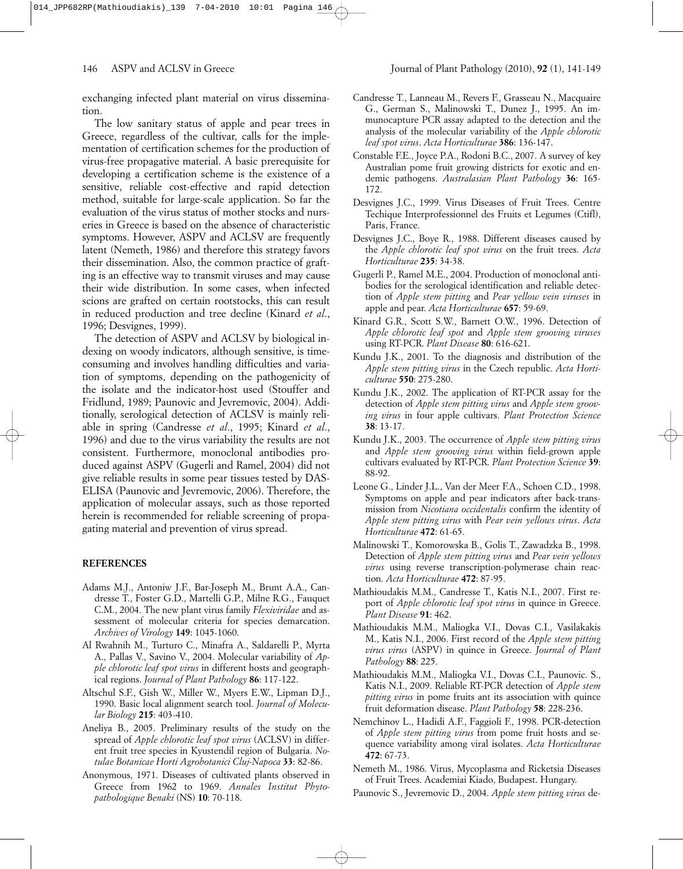exchanging infected plant material on virus dissemination.

The low sanitary status of apple and pear trees in Greece, regardless of the cultivar, calls for the implementation of certification schemes for the production of virus-free propagative material. A basic prerequisite for developing a certification scheme is the existence of a sensitive, reliable cost-effective and rapid detection method, suitable for large-scale application. So far the evaluation of the virus status of mother stocks and nurseries in Greece is based on the absence of characteristic symptoms. However, ASPV and ACLSV are frequently latent (Nemeth, 1986) and therefore this strategy favors their dissemination. Also, the common practice of grafting is an effective way to transmit viruses and may cause their wide distribution. In some cases, when infected scions are grafted on certain rootstocks, this can result in reduced production and tree decline (Kinard *et al*., 1996; Desvignes, 1999).

The detection of ASPV and ACLSV by biological indexing on woody indicators, although sensitive, is timeconsuming and involves handling difficulties and variation of symptoms, depending on the pathogenicity of the isolate and the indicator-host used (Stouffer and Fridlund, 1989; Paunovic and Jevremovic, 2004). Additionally, serological detection of ACLSV is mainly reliable in spring (Candresse *et al*., 1995; Kinard *et al*., 1996) and due to the virus variability the results are not consistent. Furthermore, monoclonal antibodies produced against ASPV (Gugerli and Ramel, 2004) did not give reliable results in some pear tissues tested by DAS-ELISA (Paunovic and Jevremovic, 2006). Therefore, the application of molecular assays, such as those reported herein is recommended for reliable screening of propagating material and prevention of virus spread.

### **REFERENCES**

- Adams M.J., Antoniw J.F., Bar-Joseph M., Brunt A.A., Candresse T., Foster G.D., Martelli G.P., Milne R.G., Fauquet C.M., 2004. The new plant virus family *Flexiviridae* and assessment of molecular criteria for species demarcation. *Archives of Virology* **149**: 1045-1060.
- Al Rwahnih M., Turturo C., Minafra A., Saldarelli P., Myrta A., Pallas V., Savino V., 2004. Molecular variability of *Apple chlorotic leaf spot virus* in different hosts and geographical regions. *Journal of Plant Pathology* **86**: 117-122.
- Altschul S.F., Gish W., Miller W., Myers E.W., Lipman D.J., 1990. Basic local alignment search tool. *Journal of Molecular Biology* **215**: 403-410.
- Aneliya B., 2005. Preliminary results of the study on the spread of *Apple chlorotic leaf spot virus* (ACLSV) in different fruit tree species in Kyustendil region of Bulgaria. *Notulae Botanicae Horti Agrobotanici Cluj-Napoca* **33**: 82-86.
- Anonymous, 1971. Diseases of cultivated plants observed in Greece from 1962 to 1969. *Annales Institut Phytopathologique Benaki* (NS) **10**: 70-118.
- Candresse T., Lanneau M., Revers F., Grasseau N., Macquaire G., German S., Malinowski T., Dunez J., 1995. An immunocapture PCR assay adapted to the detection and the analysis of the molecular variability of the *Apple chlorotic leaf spot virus*. *Acta Horticulturae* **386**: 136-147.
- Constable F.E., Joyce P.A., Rodoni B.C., 2007. A survey of key Australian pome fruit growing districts for exotic and endemic pathogens. *Australasian Plant Pathology* **36**: 165- 172.
- Desvignes J.C., 1999. Virus Diseases of Fruit Trees. Centre Techique Interprofessionnel des Fruits et Legumes (Ctifl), Paris, France.
- Desvignes J.C., Boye R., 1988. Different diseases caused by the *Apple chlorotic leaf spot virus* on the fruit trees. *Acta Horticulturae* **235**: 34-38.
- Gugerli P., Ramel M.E., 2004. Production of monoclonal antibodies for the serological identification and reliable detection of *Apple stem pitting* and *Pear yellow vein viruses* in apple and pear. *Acta Horticulturae* **657**: 59-69.
- Kinard G.R., Scott S.W., Barnett O.W., 1996. Detection of *Apple chlorotic leaf spot* and *Apple stem grooving viruses* using RT-PCR. *Plant Disease* **80**: 616-621.
- Kundu J.K., 2001. To the diagnosis and distribution of the *Apple stem pitting virus* in the Czech republic. *Acta Horticulturae* **550**: 275-280.
- Kundu J.K., 2002. The application of RT-PCR assay for the detection of *Apple stem pitting virus* and *Apple stem grooving virus* in four apple cultivars. *Plant Protection Science* **38**: 13-17.
- Kundu J.K., 2003. The occurrence of *Apple stem pitting virus* and *Apple stem grooving virus* within field-grown apple cultivars evaluated by RT-PCR. *Plant Protection Science* **39**: 88-92.
- Leone G., Linder J.L., Van der Meer F.A., Schoen C.D., 1998. Symptoms on apple and pear indicators after back-transmission from *Nicotiana occidentalis* confirm the identity of *Apple stem pitting virus* with *Pear vein yellows virus*. *Acta Horticulturae* **472**: 61-65.
- Malinowski T., Komorowska B., Golis T., Zawadzka B., 1998. Detection of *Apple stem pitting virus* and *Pear vein yellows virus* using reverse transcription-polymerase chain reaction. *Acta Horticulturae* **472**: 87-95.
- Mathioudakis M.M., Candresse T., Katis N.I., 2007. First report of *Apple chlorotic leaf spot virus* in quince in Greece. *Plant Disease* **91**: 462.
- Mathioudakis M.M., Maliogka V.I., Dovas C.I., Vasilakakis M., Katis N.I., 2006. First record of the *Apple stem pitting virus virus* (ASPV) in quince in Greece. *Journal of Plant Pathology* **88**: 225.
- Mathioudakis M.M., Maliogka V.I., Dovas C.I., Paunovic. S., Katis N.I., 2009. Reliable RT-PCR detection of *Apple stem pitting virus* in pome fruits ant its association with quince fruit deformation disease. *Plant Pathology* **58**: 228-236.
- Nemchinov L., Hadidi A.F., Faggioli F., 1998. PCR-detection of *Apple stem pitting virus* from pome fruit hosts and sequence variability among viral isolates. *Acta Horticulturae* **472**: 67-73.
- Nemeth M., 1986. Virus, Mycoplasma and Ricketsia Diseases of Fruit Trees. Academiai Kiado, Budapest. Hungary.
- Paunovic S., Jevremovic D., 2004. *Apple stem pitting virus* de-